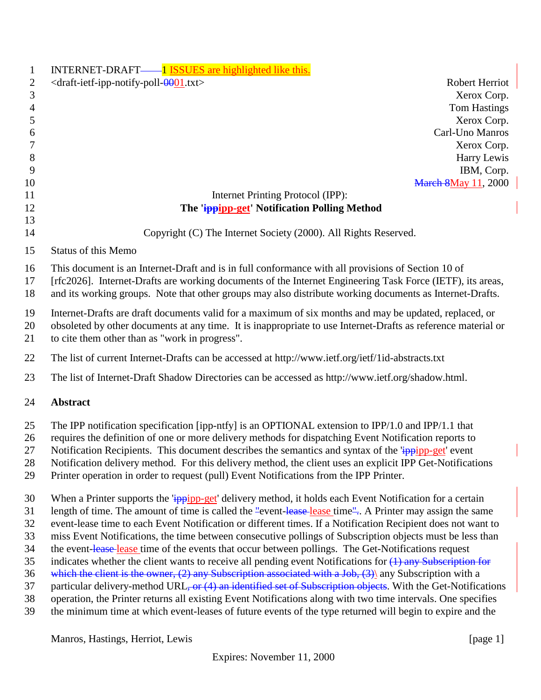| $\mathbf{1}$             | INTERNET-DRAFT— <sup>1</sup> ISSUES are highlighted like this.                                                |
|--------------------------|---------------------------------------------------------------------------------------------------------------|
| 2                        | $\langle$ draft-ietf-ipp-notify-poll- $\theta$ 001.txt><br>Robert Herriot                                     |
| 3                        | Xerox Corp.                                                                                                   |
| $\overline{\mathcal{A}}$ | <b>Tom Hastings</b>                                                                                           |
| 5                        | Xerox Corp.                                                                                                   |
| 6                        | Carl-Uno Manros                                                                                               |
| 7                        | Xerox Corp.                                                                                                   |
| $\,8\,$                  | Harry Lewis                                                                                                   |
| 9                        | IBM, Corp.                                                                                                    |
| 10                       | <b>March 8May 11, 2000</b>                                                                                    |
| 11<br>12                 | Internet Printing Protocol (IPP):<br>The 'ippipp-get' Notification Polling Method                             |
| 13                       |                                                                                                               |
| 14                       | Copyright (C) The Internet Society (2000). All Rights Reserved.                                               |
| 15                       | <b>Status of this Memo</b>                                                                                    |
| 16                       | This document is an Internet-Draft and is in full conformance with all provisions of Section 10 of            |
| 17                       | [rfc2026]. Internet-Drafts are working documents of the Internet Engineering Task Force (IETF), its areas,    |
| 18                       | and its working groups. Note that other groups may also distribute working documents as Internet-Drafts.      |
| 19                       | Internet-Drafts are draft documents valid for a maximum of six months and may be updated, replaced, or        |
| 20                       | obsoleted by other documents at any time. It is inappropriate to use Internet-Drafts as reference material or |
| 21                       | to cite them other than as "work in progress".                                                                |
| 22                       |                                                                                                               |
|                          | The list of current Internet-Drafts can be accessed at http://www.ietf.org/ietf/1id-abstracts.txt             |
| 23                       | The list of Internet-Draft Shadow Directories can be accessed as http://www.ietf.org/shadow.html.             |
| 24                       | Abstract                                                                                                      |
| 25                       | The IPP notification specification [ipp-ntfy] is an OPTIONAL extension to IPP/1.0 and IPP/1.1 that            |
| 26                       | requires the definition of one or more delivery methods for dispatching Event Notification reports to         |
| 27                       | Notification Recipients. This document describes the semantics and syntax of the 'ippipp-get' event           |
| 28                       | Notification delivery method. For this delivery method, the client uses an explicit IPP Get-Notifications     |
| 29                       | Printer operation in order to request (pull) Event Notifications from the IPP Printer.                        |
| 30                       | When a Printer supports the 'ippipp-get' delivery method, it holds each Event Notification for a certain      |
| 31                       | length of time. The amount of time is called the "event-lease-lease time" A Printer may assign the same       |
| 32                       | event-lease time to each Event Notification or different times. If a Notification Recipient does not want to  |
| 33                       | miss Event Notifications, the time between consecutive pollings of Subscription objects must be less than     |
| 34                       | the event-lease-lease time of the events that occur between pollings. The Get-Notifications request           |
| 35                       | indicates whether the client wants to receive all pending event Notifications for $(1)$ any Subscription for  |
| 36                       | which the client is the owner, $(2)$ any Subscription associated with a Job, $(3)$ any Subscription with a    |
| 37                       | particular delivery-method URL, or (4) an identified set of Subscription objects. With the Get-Notifications  |
| 38                       | operation, the Printer returns all existing Event Notifications along with two time intervals. One specifies  |
| 39                       | the minimum time at which event-leases of future events of the type returned will begin to expire and the     |

Manros, Hastings, Herriot, Lewis [page 1]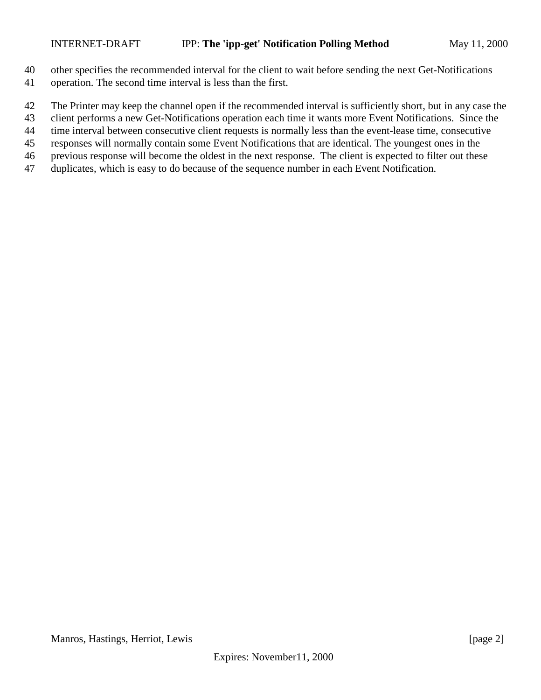- other specifies the recommended interval for the client to wait before sending the next Get-Notifications
- operation. The second time interval is less than the first.
- The Printer may keep the channel open if the recommended interval is sufficiently short, but in any case the
- client performs a new Get-Notifications operation each time it wants more Event Notifications. Since the
- time interval between consecutive client requests is normally less than the event-lease time, consecutive
- responses will normally contain some Event Notifications that are identical. The youngest ones in the
- previous response will become the oldest in the next response. The client is expected to filter out these
- duplicates, which is easy to do because of the sequence number in each Event Notification.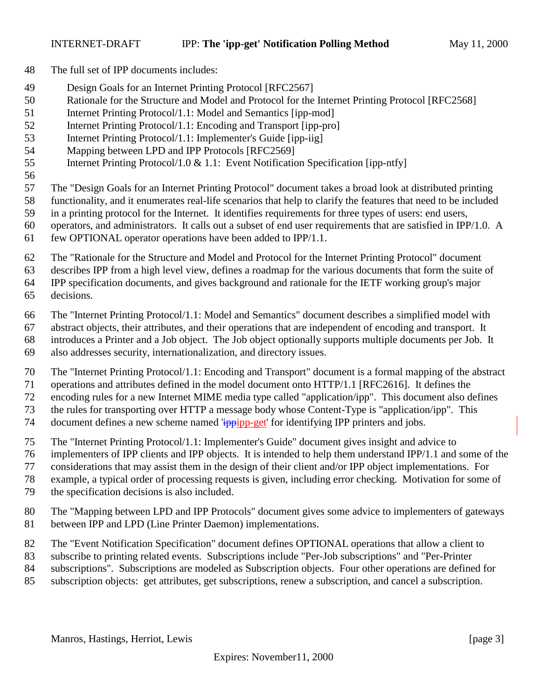- The full set of IPP documents includes:
- Design Goals for an Internet Printing Protocol [RFC2567]
- Rationale for the Structure and Model and Protocol for the Internet Printing Protocol [RFC2568]
- Internet Printing Protocol/1.1: Model and Semantics [ipp-mod]
- Internet Printing Protocol/1.1: Encoding and Transport [ipp-pro]
- Internet Printing Protocol/1.1: Implementer's Guide [ipp-iig]
- Mapping between LPD and IPP Protocols [RFC2569]
- Internet Printing Protocol/1.0 & 1.1: Event Notification Specification [ipp-ntfy]
- 

The "Design Goals for an Internet Printing Protocol" document takes a broad look at distributed printing

- functionality, and it enumerates real-life scenarios that help to clarify the features that need to be included
- in a printing protocol for the Internet. It identifies requirements for three types of users: end users,
- operators, and administrators. It calls out a subset of end user requirements that are satisfied in IPP/1.0. A few OPTIONAL operator operations have been added to IPP/1.1.
- The "Rationale for the Structure and Model and Protocol for the Internet Printing Protocol" document
- describes IPP from a high level view, defines a roadmap for the various documents that form the suite of

IPP specification documents, and gives background and rationale for the IETF working group's major

- decisions.
- The "Internet Printing Protocol/1.1: Model and Semantics" document describes a simplified model with
- abstract objects, their attributes, and their operations that are independent of encoding and transport. It
- introduces a Printer and a Job object. The Job object optionally supports multiple documents per Job. It
- also addresses security, internationalization, and directory issues.
- The "Internet Printing Protocol/1.1: Encoding and Transport" document is a formal mapping of the abstract
- operations and attributes defined in the model document onto HTTP/1.1 [RFC2616]. It defines the
- encoding rules for a new Internet MIME media type called "application/ipp". This document also defines
- the rules for transporting over HTTP a message body whose Content-Type is "application/ipp". This
- 74 document defines a new scheme named 'ippipp-get' for identifying IPP printers and jobs.
- The "Internet Printing Protocol/1.1: Implementer's Guide" document gives insight and advice to
- implementers of IPP clients and IPP objects. It is intended to help them understand IPP/1.1 and some of the
- considerations that may assist them in the design of their client and/or IPP object implementations. For
- example, a typical order of processing requests is given, including error checking. Motivation for some of
- the specification decisions is also included.
- The "Mapping between LPD and IPP Protocols" document gives some advice to implementers of gateways between IPP and LPD (Line Printer Daemon) implementations.
- The "Event Notification Specification" document defines OPTIONAL operations that allow a client to
- subscribe to printing related events. Subscriptions include "Per-Job subscriptions" and "Per-Printer
- subscriptions". Subscriptions are modeled as Subscription objects. Four other operations are defined for
- subscription objects: get attributes, get subscriptions, renew a subscription, and cancel a subscription.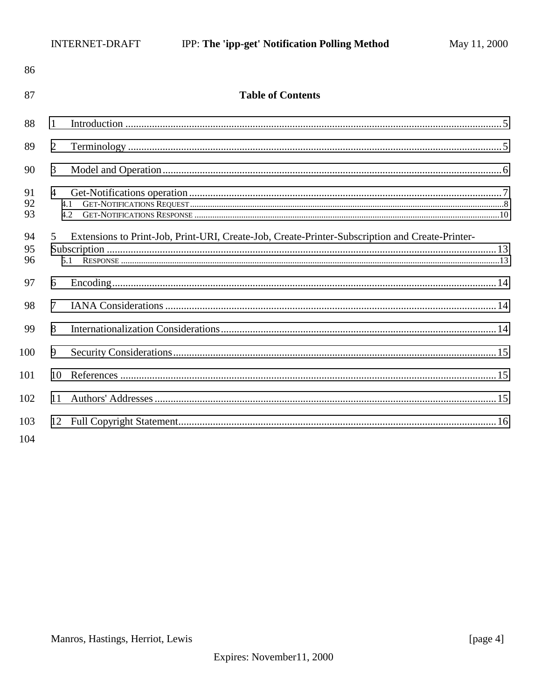| 86             |                                                                                                             |  |
|----------------|-------------------------------------------------------------------------------------------------------------|--|
| 87             | <b>Table of Contents</b>                                                                                    |  |
| 88             | 1                                                                                                           |  |
| 89             | $\overline{2}$                                                                                              |  |
| 90             | 3                                                                                                           |  |
| 91<br>92<br>93 | $\overline{4}$<br>4.1<br>4.2                                                                                |  |
| 94<br>95<br>96 | Extensions to Print-Job, Print-URI, Create-Job, Create-Printer-Subscription and Create-Printer-<br>5<br>5.1 |  |
| 97             | 6                                                                                                           |  |
| 98             | $\tau$                                                                                                      |  |
| 99             | 8                                                                                                           |  |
| 100            | 9                                                                                                           |  |
| 101            | 10                                                                                                          |  |
| 102            | 11                                                                                                          |  |
| 103<br>104     |                                                                                                             |  |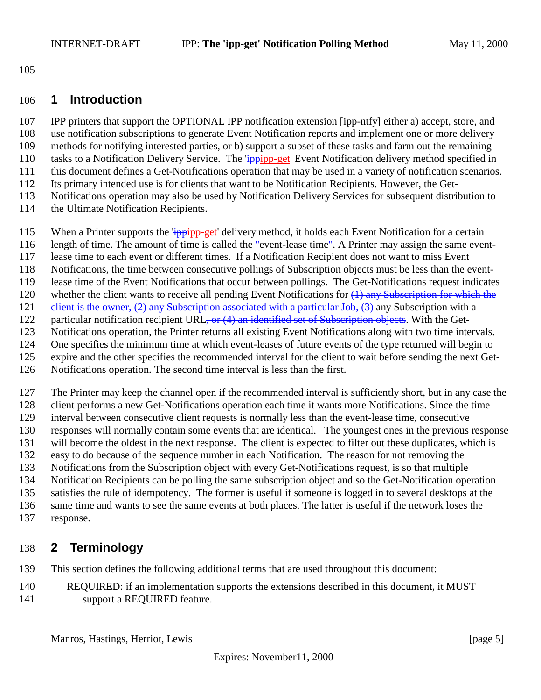<span id="page-4-0"></span>

#### **1 Introduction**

 IPP printers that support the OPTIONAL IPP notification extension [ipp-ntfy] either a) accept, store, and use notification subscriptions to generate Event Notification reports and implement one or more delivery methods for notifying interested parties, or b) support a subset of these tasks and farm out the remaining 110 tasks to a Notification Delivery Service. The 'ippipp-get' Event Notification delivery method specified in this document defines a Get-Notifications operation that may be used in a variety of notification scenarios. Its primary intended use is for clients that want to be Notification Recipients. However, the Get- Notifications operation may also be used by Notification Delivery Services for subsequent distribution to 114 the Ultimate Notification Recipients.

- 115 When a Printer supports the 'ippipp-get' delivery method, it holds each Event Notification for a certain
- length of time. The amount of time is called the "event-lease time". A Printer may assign the same event-
- lease time to each event or different times. If a Notification Recipient does not want to miss Event
- Notifications, the time between consecutive pollings of Subscription objects must be less than the event-
- lease time of the Event Notifications that occur between pollings. The Get-Notifications request indicates
- 120 whether the client wants to receive all pending Event Notifications for  $(1)$  any Subscription for which the
- 121 elient is the owner, (2) any Subscription associated with a particular Job, (3) any Subscription with a
- 122 particular notification recipient URL, or (4) an identified set of Subscription objects. With the Get-
- Notifications operation, the Printer returns all existing Event Notifications along with two time intervals.
- One specifies the minimum time at which event-leases of future events of the type returned will begin to expire and the other specifies the recommended interval for the client to wait before sending the next Get-
- Notifications operation. The second time interval is less than the first.
- 

 The Printer may keep the channel open if the recommended interval is sufficiently short, but in any case the client performs a new Get-Notifications operation each time it wants more Notifications. Since the time

- interval between consecutive client requests is normally less than the event-lease time, consecutive
- responses will normally contain some events that are identical. The youngest ones in the previous response
- will become the oldest in the next response. The client is expected to filter out these duplicates, which is
- easy to do because of the sequence number in each Notification. The reason for not removing the Notifications from the Subscription object with every Get-Notifications request, is so that multiple
- Notification Recipients can be polling the same subscription object and so the Get-Notification operation
- satisfies the rule of idempotency. The former is useful if someone is logged in to several desktops at the
- same time and wants to see the same events at both places. The latter is useful if the network loses the
- response.

# **2 Terminology**

- This section defines the following additional terms that are used throughout this document:
- REQUIRED: if an implementation supports the extensions described in this document, it MUST support a REQUIRED feature.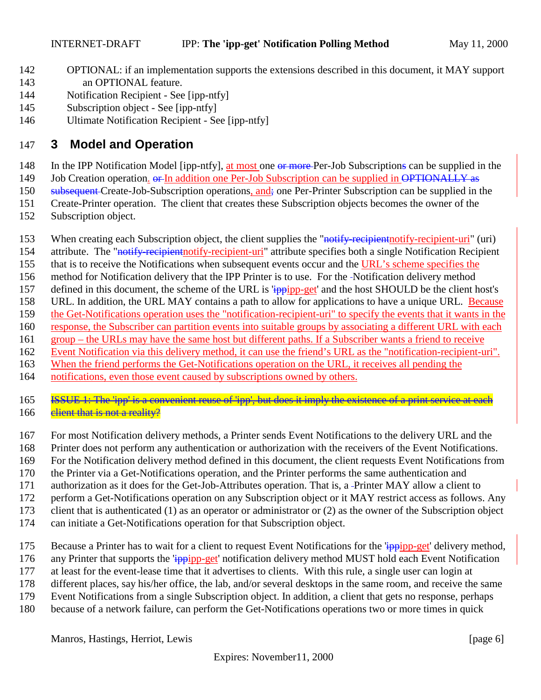- <span id="page-5-0"></span> OPTIONAL: if an implementation supports the extensions described in this document, it MAY support an OPTIONAL feature.
- Notification Recipient See [ipp-ntfy]
- Subscription object See [ipp-ntfy]
- Ultimate Notification Recipient See [ipp-ntfy]

### **3 Model and Operation**

- 148 In the IPP Notification Model [ipp-ntfy], at most one or more Per-Job Subscriptions can be supplied in the
- 149 Job Creation operation.  $\theta$ -In addition one Per-Job Subscription can be supplied in OPTIONALLY as
- 150 subsequent Create-Job-Subscription operations, and; one Per-Printer Subscription can be supplied in the
- Create-Printer operation. The client that creates these Subscription objects becomes the owner of the
- Subscription object.
- 153 When creating each Subscription object, the client supplies the "notify-recipient notify-recipient-uri" (uri)
- 154 attribute. The "notify-recipient notify-recipient-uri" attribute specifies both a single Notification Recipient
- that is to receive the Notifications when subsequent events occur and the URL's scheme specifies the
- method for Notification delivery that the IPP Printer is to use. For the Notification delivery method
- 157 defined in this document, the scheme of the URL is 'ippipp-get' and the host SHOULD be the client host's
- URL. In addition, the URL MAY contains a path to allow for applications to have a unique URL. Because
- the Get-Notifications operation uses the "notification-recipient-uri" to specify the events that it wants in the
- response, the Subscriber can partition events into suitable groups by associating a different URL with each group – the URLs may have the same host but different paths. If a Subscriber wants a friend to receive
- Event Notification via this delivery method, it can use the friend's URL as the "notification-recipient-uri".
- When the friend performs the Get-Notifications operation on the URL, it receives all pending the
- notifications, even those event caused by subscriptions owned by others.
- **ISSUE 1: The 'ipp' is a convenient reuse of 'ipp', but does it imply the existence of a print service at each** 166 client that is not a reality?
- For most Notification delivery methods, a Printer sends Event Notifications to the delivery URL and the
- Printer does not perform any authentication or authorization with the receivers of the Event Notifications.
- For the Notification delivery method defined in this document, the client requests Event Notifications from
- the Printer via a Get-Notifications operation, and the Printer performs the same authentication and
- authorization as it does for the Get-Job-Attributes operation. That is, a Printer MAY allow a client to
- perform a Get-Notifications operation on any Subscription object or it MAY restrict access as follows. Any
- client that is authenticated (1) as an operator or administrator or (2) as the owner of the Subscription object
- can initiate a Get-Notifications operation for that Subscription object.
- 175 Because a Printer has to wait for a client to request Event Notifications for the 'ippipp-get' delivery method,
- 176 any Printer that supports the 'ippipp-get' notification delivery method MUST hold each Event Notification
- at least for the event-lease time that it advertises to clients. With this rule, a single user can login at
- different places, say his/her office, the lab, and/or several desktops in the same room, and receive the same
- Event Notifications from a single Subscription object. In addition, a client that gets no response, perhaps
- because of a network failure, can perform the Get-Notifications operations two or more times in quick

Manros, Hastings, Herriot, Lewis [page 6]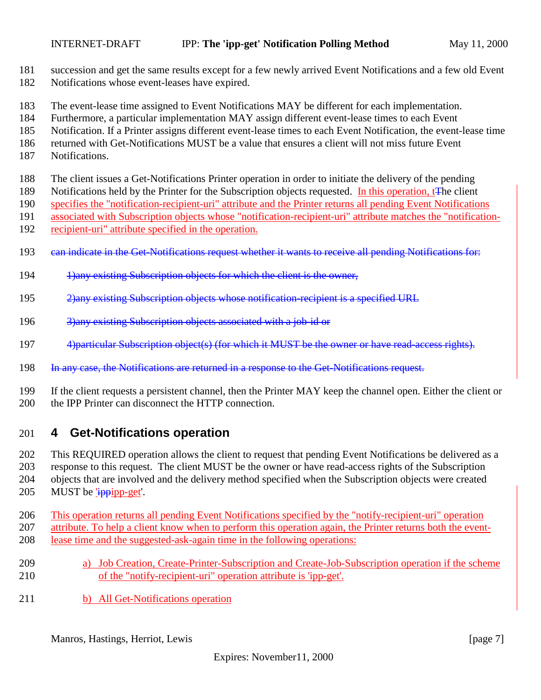- <span id="page-6-0"></span>succession and get the same results except for a few newly arrived Event Notifications and a few old Event
- Notifications whose event-leases have expired.
- The event-lease time assigned to Event Notifications MAY be different for each implementation.
- Furthermore, a particular implementation MAY assign different event-lease times to each Event
- Notification. If a Printer assigns different event-lease times to each Event Notification, the event-lease time
- returned with Get-Notifications MUST be a value that ensures a client will not miss future Event
- Notifications.
- The client issues a Get-Notifications Printer operation in order to initiate the delivery of the pending
- 189 Notifications held by the Printer for the Subscription objects requested. In this operation, t<del>T</del>he client
- specifies the "notification-recipient-uri" attribute and the Printer returns all pending Event Notifications associated with Subscription objects whose "notification-recipient-uri" attribute matches the "notification-
- recipient-uri" attribute specified in the operation.
	- 193 can indicate in the Get-Notifications request whether it wants to receive all pending Notifications for:
	- 194 1)any existing Subscription objects for which the client is the owner,
	- 2)any existing Subscription objects whose notification-recipient is a specified URL
	- 196 3)any existing Subscription objects associated with a job-id or
	- 197 4) particular Subscription object(s) (for which it MUST be the owner or have read-access rights).
	- 198 In any case, the Notifications are returned in a response to the Get-Notifications request.
	- If the client requests a persistent channel, then the Printer MAY keep the channel open. Either the client or 200 the IPP Printer can disconnect the HTTP connection.

## **4 Get-Notifications operation**

 This REQUIRED operation allows the client to request that pending Event Notifications be delivered as a response to this request. The client MUST be the owner or have read-access rights of the Subscription objects that are involved and the delivery method specified when the Subscription objects were created 205 MUST be 'ippipp-get'.

- This operation returns all pending Event Notifications specified by the "notify-recipient-uri" operation
- attribute. To help a client know when to perform this operation again, the Printer returns both the event-
- lease time and the suggested-ask-again time in the following operations:
- a) Job Creation, Create-Printer-Subscription and Create-Job-Subscription operation if the scheme of the "notify-recipient-uri" operation attribute is 'ipp-get'.
- b) All Get-Notifications operation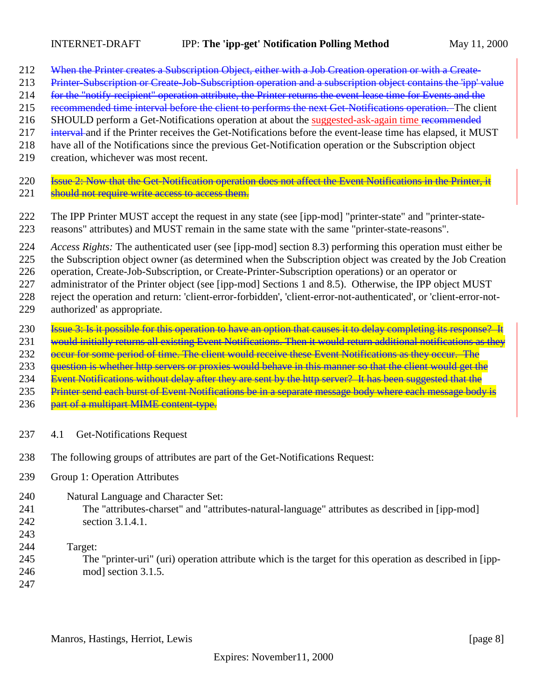- <span id="page-7-0"></span>212 When the Printer creates a Subscription Object, either with a Job Creation operation or with a Create-
- 213 Printer-Subscription or Create-Job-Subscription operation and a subscription object contains the 'ipp' value
- 214 for the "notify-recipient" operation attribute, the Printer returns the event-lease time for Events and the
- 215 recommended time interval before the client to performs the next Get-Notifications operation. The client
- SHOULD perform a Get-Notifications operation at about the suggested-ask-again time recommended
- 217 interval and if the Printer receives the Get-Notifications before the event-lease time has elapsed, it MUST
- have all of the Notifications since the previous Get-Notification operation or the Subscription object
- creation, whichever was most recent.
- **Issue 2: Now that the Get-Notification operation does not affect the Event Notifications in the Printer, it** 221 should not require write access to access them.
- The IPP Printer MUST accept the request in any state (see [ipp-mod] "printer-state" and "printer-state-
- reasons" attributes) and MUST remain in the same state with the same "printer-state-reasons".
- *Access Rights:* The authenticated user (see [ipp-mod] section 8.3) performing this operation must either be
- the Subscription object owner (as determined when the Subscription object was created by the Job Creation

operation, Create-Job-Subscription, or Create-Printer-Subscription operations) or an operator or

227 administrator of the Printer object (see [ipp-mod] Sections 1 and 8.5). Otherwise, the IPP object MUST

- reject the operation and return: 'client-error-forbidden', 'client-error-not-authenticated', or 'client-error-not-
- authorized' as appropriate.
- **Issue 3: Is it possible for this operation to have an option that causes it to delay completing its response?** It
- 231 would initially returns all existing Event Notifications. Then it would return additional notifications as they
- 232 occur for some period of time. The client would receive these Event Notifications as they occur. The
- question is whether http servers or proxies would behave in this manner so that the client would get the
- 234 Event Notifications without delay after they are sent by the http server? It has been suggested that the
- 235 Printer send each burst of Event Notifications be in a separate message body where each message body is
- 236 part of a multipart MIME content-type.
- 4.1 Get-Notifications Request
- The following groups of attributes are part of the Get-Notifications Request:
- Group 1: Operation Attributes
- Natural Language and Character Set:
- The "attributes-charset" and "attributes-natural-language" attributes as described in [ipp-mod] section 3.1.4.1.
- 
- Target:
- The "printer-uri" (uri) operation attribute which is the target for this operation as described in [ipp-mod] section 3.1.5.
-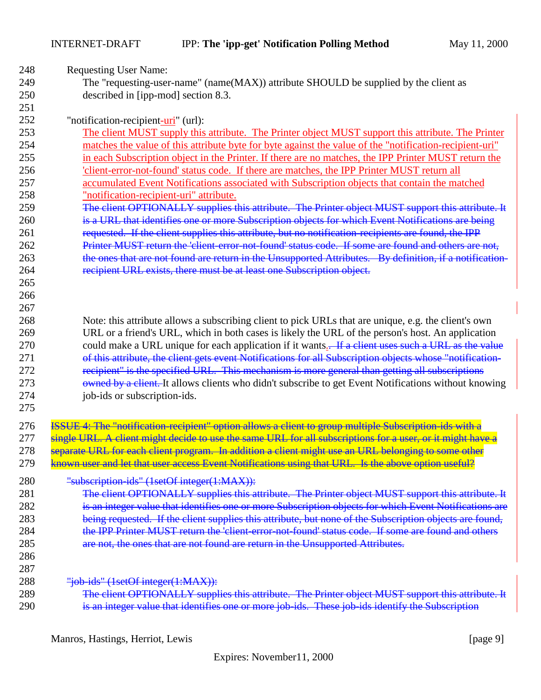INTERNET-DRAFT IPP: **The 'ipp-get' Notification Polling Method** May 11, 2000

| 248 | <b>Requesting User Name:</b>                                                                               |
|-----|------------------------------------------------------------------------------------------------------------|
| 249 | The "requesting-user-name" (name(MAX)) attribute SHOULD be supplied by the client as                       |
| 250 | described in [ipp-mod] section 8.3.                                                                        |
| 251 |                                                                                                            |
| 252 | "notification-recipient-uri" (url):                                                                        |
| 253 | The client MUST supply this attribute. The Printer object MUST support this attribute. The Printer         |
| 254 | matches the value of this attribute byte for byte against the value of the "notification-recipient-uri"    |
| 255 | in each Subscription object in the Printer. If there are no matches, the IPP Printer MUST return the       |
| 256 | 'client-error-not-found' status code. If there are matches, the IPP Printer MUST return all                |
| 257 | accumulated Event Notifications associated with Subscription objects that contain the matched              |
| 258 | "notification-recipient-uri" attribute.                                                                    |
| 259 | The client OPTIONALLY supplies this attribute. The Printer object MUST support this attribute. It          |
| 260 | is a URL that identifies one or more Subscription objects for which Event Notifications are being          |
| 261 | requested. If the client supplies this attribute, but no notification-recipients are found, the IPP        |
| 262 | Printer MUST return the 'client-error-not-found' status code. If some are found and others are not.        |
| 263 | the ones that are not found are return in the Unsupported Attributes. By definition, if a notification-    |
| 264 | recipient URL exists, there must be at least one Subscription object.                                      |
| 265 |                                                                                                            |
| 266 |                                                                                                            |
| 267 |                                                                                                            |
| 268 | Note: this attribute allows a subscribing client to pick URLs that are unique, e.g. the client's own       |
| 269 | URL or a friend's URL, which in both cases is likely the URL of the person's host. An application          |
| 270 | could make a URL unique for each application if it wants. If a client uses such a URL as the value         |
| 271 | of this attribute, the client gets event Notifications for all Subscription objects whose "notification-   |
| 272 | recipient" is the specified URL. This mechanism is more general than getting all subscriptions             |
| 273 | owned by a client. It allows clients who didn't subscribe to get Event Notifications without knowing       |
| 274 | job-ids or subscription-ids.                                                                               |
| 275 |                                                                                                            |
| 276 | ISSUE 4: The "notification recipient" option allows a client to group multiple Subscription ids with a     |
| 277 | single URL. A client might decide to use the same URL for all subscriptions for a user, or it might have a |
| 278 | separate URL for each client program. In addition a client might use an URL belonging to some other        |
| 279 | known user and let that user access Event Notifications using that URL. Is the above option useful?        |
|     |                                                                                                            |
| 280 | "subscription-ids" (1setOf integer(1:MAX)):                                                                |
| 281 | The client OPTIONALLY supplies this attribute. The Printer object MUST support this attribute. It          |
| 282 | is an integer value that identifies one or more Subscription objects for which Event Notifications are     |
| 283 | being requested. If the client supplies this attribute, but none of the Subscription objects are found,    |
| 284 | the IPP Printer MUST return the 'client error not found' status code. If some are found and others         |
| 285 | are not, the ones that are not found are return in the Unsupported Attributes.                             |
| 286 |                                                                                                            |
| 287 |                                                                                                            |
| 288 | "job-ids" (1setOf-integer(1:MAX)):                                                                         |
| 289 | The client OPTIONALLY supplies this attribute. The Printer object MUST support this attribute. It          |
| 290 | is an integer value that identifies one or more job-ids. These job-ids identify the Subscription           |

Manros, Hastings, Herriot, Lewis [page 9]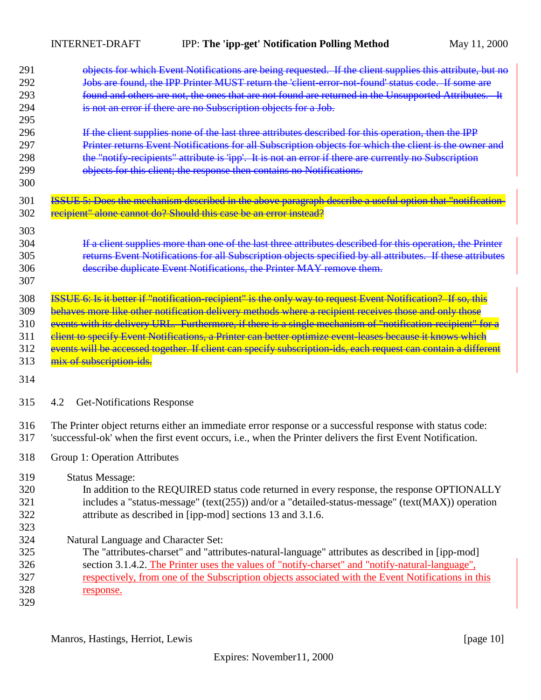<span id="page-9-0"></span>INTERNET-DRAFT IPP: **The 'ipp-get' Notification Polling Method** May 11, 2000

| 291<br>292<br>293<br>294<br>295<br>296<br>297<br>298<br>299<br>300 | objects for which Event Notifications are being requested. If the client supplies this attribute, but no<br>Jobs are found, the IPP Printer MUST return the 'client-error-not-found' status code. If some are<br>found and others are not, the ones that are not found are returned in the Unsupported Attributes. It<br>is not an error if there are no Subscription objects for a Job.<br>If the client supplies none of the last three attributes described for this operation, then the IPP<br>Printer returns Event Notifications for all Subscription objects for which the client is the owner and<br>the "notify recipients" attribute is 'ipp'. It is not an error if there are currently no Subscription<br>objects for this client; the response then contains no Notifications. |
|--------------------------------------------------------------------|---------------------------------------------------------------------------------------------------------------------------------------------------------------------------------------------------------------------------------------------------------------------------------------------------------------------------------------------------------------------------------------------------------------------------------------------------------------------------------------------------------------------------------------------------------------------------------------------------------------------------------------------------------------------------------------------------------------------------------------------------------------------------------------------|
| 301<br>302                                                         | ISSUE 5: Does the mechanism described in the above paragraph describe a useful option that "notification-<br>recipient" alone cannot do? Should this case be an error instead?                                                                                                                                                                                                                                                                                                                                                                                                                                                                                                                                                                                                              |
| 303<br>304<br>305<br>306<br>307                                    | If a client supplies more than one of the last three attributes described for this operation, the Printer<br>returns Event Notifications for all Subscription objects specified by all attributes. If these attributes<br>describe duplicate Event Notifications, the Printer MAY remove them.                                                                                                                                                                                                                                                                                                                                                                                                                                                                                              |
| 308<br>309<br>310<br>311<br>312<br>313<br>314                      | ISSUE 6: Is it better if "notification-recipient" is the only way to request Event Notification? If so, this<br>behaves more like other notification delivery methods where a recipient receives those and only those<br>events with its delivery URL. Furthermore, if there is a single mechanism of "notification-recipient" for a<br>client to specify Event Notifications, a Printer can better optimize event leases because it knows which<br>events will be accessed together. If client can specify subscription ids, each request can contain a different<br>mix of subscription-ids.                                                                                                                                                                                              |
| 315                                                                | <b>Get-Notifications Response</b><br>4.2                                                                                                                                                                                                                                                                                                                                                                                                                                                                                                                                                                                                                                                                                                                                                    |
| 316<br>317                                                         | The Printer object returns either an immediate error response or a successful response with status code:<br>'successful-ok' when the first event occurs, i.e., when the Printer delivers the first Event Notification.                                                                                                                                                                                                                                                                                                                                                                                                                                                                                                                                                                      |
| 318                                                                | Group 1: Operation Attributes                                                                                                                                                                                                                                                                                                                                                                                                                                                                                                                                                                                                                                                                                                                                                               |
| 319<br>320<br>321<br>322<br>323                                    | <b>Status Message:</b><br>In addition to the REQUIRED status code returned in every response, the response OPTIONALLY<br>includes a "status-message" (text(255)) and/or a "detailed-status-message" (text(MAX)) operation<br>attribute as described in [ipp-mod] sections 13 and 3.1.6.                                                                                                                                                                                                                                                                                                                                                                                                                                                                                                     |
| 324<br>325<br>326<br>327<br>328<br>329                             | Natural Language and Character Set:<br>The "attributes-charset" and "attributes-natural-language" attributes as described in [ipp-mod]<br>section 3.1.4.2. The Printer uses the values of "notify-charset" and "notify-natural-language",<br>respectively, from one of the Subscription objects associated with the Event Notifications in this<br>response.                                                                                                                                                                                                                                                                                                                                                                                                                                |

Manros, Hastings, Herriot, Lewis [page 10]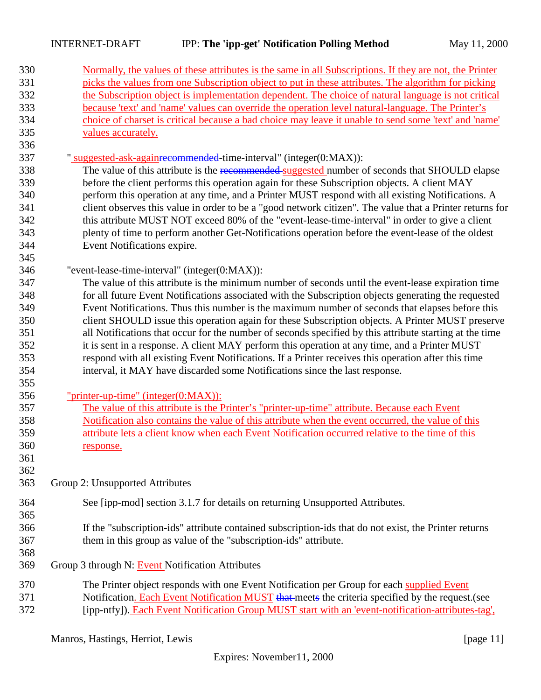| 330 | Normally, the values of these attributes is the same in all Subscriptions. If they are not, the Printer  |
|-----|----------------------------------------------------------------------------------------------------------|
| 331 | picks the values from one Subscription object to put in these attributes. The algorithm for picking      |
| 332 | the Subscription object is implementation dependent. The choice of natural language is not critical      |
| 333 | because 'text' and 'name' values can override the operation level natural-language. The Printer's        |
| 334 | choice of charset is critical because a bad choice may leave it unable to send some 'text' and 'name'    |
| 335 | values accurately.                                                                                       |
| 336 |                                                                                                          |
| 337 | " suggested-ask-again recommended-time-interval" (integer(0:MAX)):                                       |
| 338 | The value of this attribute is the recommended suggested number of seconds that SHOULD elapse            |
| 339 | before the client performs this operation again for these Subscription objects. A client MAY             |
| 340 | perform this operation at any time, and a Printer MUST respond with all existing Notifications. A        |
| 341 | client observes this value in order to be a "good network citizen". The value that a Printer returns for |
| 342 | this attribute MUST NOT exceed 80% of the "event-lease-time-interval" in order to give a client          |
| 343 | plenty of time to perform another Get-Notifications operation before the event-lease of the oldest       |
| 344 | Event Notifications expire.                                                                              |
| 345 |                                                                                                          |
| 346 | "event-lease-time-interval" (integer(0:MAX)):                                                            |
| 347 | The value of this attribute is the minimum number of seconds until the event-lease expiration time       |
| 348 | for all future Event Notifications associated with the Subscription objects generating the requested     |
| 349 | Event Notifications. Thus this number is the maximum number of seconds that elapses before this          |
| 350 | client SHOULD issue this operation again for these Subscription objects. A Printer MUST preserve         |
| 351 | all Notifications that occur for the number of seconds specified by this attribute starting at the time  |
| 352 | it is sent in a response. A client MAY perform this operation at any time, and a Printer MUST            |
| 353 | respond with all existing Event Notifications. If a Printer receives this operation after this time      |
| 354 | interval, it MAY have discarded some Notifications since the last response.                              |
| 355 |                                                                                                          |
| 356 | <u>"printer-up-time" (integer(0:MAX)):</u>                                                               |
| 357 | The value of this attribute is the Printer's "printer-up-time" attribute. Because each Event             |
| 358 | Notification also contains the value of this attribute when the event occurred, the value of this        |
| 359 | attribute lets a client know when each Event Notification occurred relative to the time of this          |
| 360 | response.                                                                                                |
| 361 |                                                                                                          |
| 362 |                                                                                                          |
| 363 | Group 2: Unsupported Attributes                                                                          |
| 364 | See [ipp-mod] section 3.1.7 for details on returning Unsupported Attributes.                             |
| 365 |                                                                                                          |
| 366 | If the "subscription-ids" attribute contained subscription-ids that do not exist, the Printer returns    |
| 367 | them in this group as value of the "subscription-ids" attribute.                                         |
| 368 |                                                                                                          |
| 369 | Group 3 through N: Event Notification Attributes                                                         |
| 370 | The Printer object responds with one Event Notification per Group for each supplied Event                |
| 371 | Notification. Each Event Notification MUST that meets the criteria specified by the request. (see        |
| 372 | [ipp-ntfy]). Each Event Notification Group MUST start with an 'event-notification-attributes-tag'.       |

Manros, Hastings, Herriot, Lewis [page 11]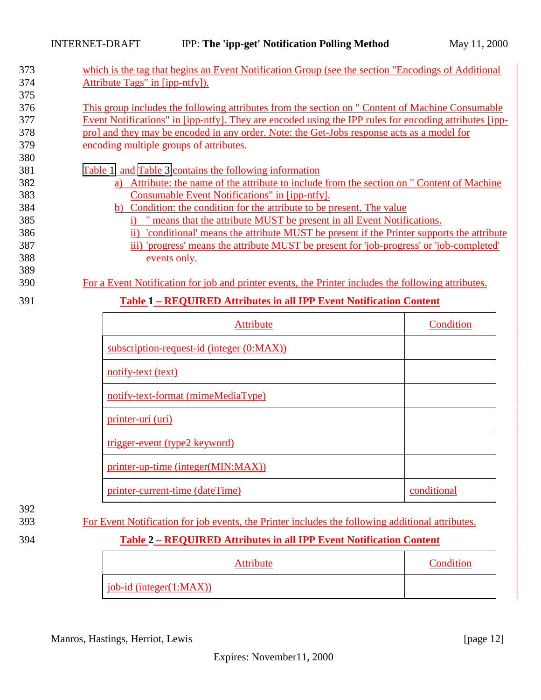| 373 | which is the tag that begins an Event Notification Group (see the section "Encodings of Additional     |
|-----|--------------------------------------------------------------------------------------------------------|
| 374 | Attribute Tags" in [ipp-ntfy]).                                                                        |
| 375 |                                                                                                        |
| 376 | This group includes the following attributes from the section on " Content of Machine Consumable       |
| 377 | Event Notifications" in [ipp-ntfy]. They are encoded using the IPP rules for encoding attributes [ipp- |
| 378 | pro] and they may be encoded in any order. Note: the Get-Jobs response acts as a model for             |
| 379 | encoding multiple groups of attributes.                                                                |
| 380 |                                                                                                        |
| 381 | Table 1 and Table 3 contains the following information                                                 |
| 382 | Attribute: the name of the attribute to include from the section on " Content of Machine<br>a)         |
| 383 | Consumable Event Notifications" in [ipp-ntfy].                                                         |
| 384 | b) Condition: the condition for the attribute to be present. The value                                 |
| 385 | means that the attribute MUST be present in all Event Notifications.<br>i)                             |
| 386 | conditional means the attribute MUST be present if the Printer supports the attribute                  |
| 387 | iii) 'progress' means the attribute MUST be present for 'job-progress' or 'job-completed'              |
| 388 | events only.                                                                                           |
| 389 |                                                                                                        |
| 390 | For a Event Notification for job and printer events, the Printer includes the following attributes.    |
| 391 | <b>Table 1 – REQUIRED Attributes in all IPP Event Notification Content</b>                             |

| <b>Attribute</b>                          | Condition   |
|-------------------------------------------|-------------|
| subscription-request-id (integer (0:MAX)) |             |
| notify-text (text)                        |             |
| notify-text-format (mimeMediaType)        |             |
| printer-uri (uri)                         |             |
| trigger-event (type2 keyword)             |             |
| printer-up-time (integer(MIN:MAX))        |             |
| printer-current-time (dateTime)           | conditional |

392

393 For Event Notification for job events, the Printer includes the following additional attributes.

#### 394 **Table 2 – REQUIRED Attributes in all IPP Event Notification Content**

| Attribute                     | Condition |
|-------------------------------|-----------|
| $job-id$ (integer( $1:MAX$ )) |           |

Manros, Hastings, Herriot, Lewis [page 12]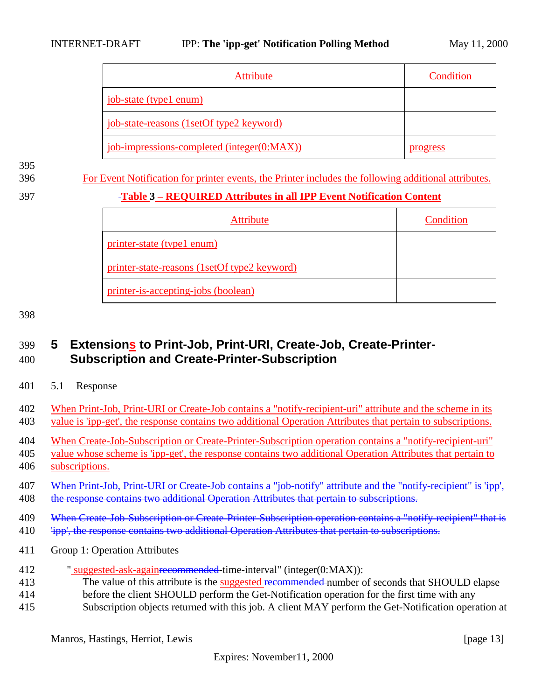<span id="page-12-0"></span>

| Attribute                                       | Condition |
|-------------------------------------------------|-----------|
| job-state (type1 enum)                          |           |
| <u>job-state-reasons (1setOf type2 keyword)</u> |           |
| job-impressions-completed (integer(0:MAX))      | progress  |

395

396 For Event Notification for printer events, the Printer includes the following additional attributes.

#### 397 **Table 3 – REQUIRED Attributes in all IPP Event Notification Content**

| <b>Attribute</b>                             | Condition |
|----------------------------------------------|-----------|
| <u>printer-state (type1 enum)</u>            |           |
| printer-state-reasons (1setOf type2 keyword) |           |
| printer-is-accepting-jobs (boolean)          |           |

#### 398

## 399 **5 Extensions to Print-Job, Print-URI, Create-Job, Create-Printer-**400 **Subscription and Create-Printer-Subscription**

401 5.1 Response

| 402   | When Print-Job, Print-URI or Create-Job contains a "notify-recipient-uri" attribute and the scheme in its                                                                                    |
|-------|----------------------------------------------------------------------------------------------------------------------------------------------------------------------------------------------|
| 403   | value is 'ipp-get', the response contains two additional Operation Attributes that pertain to subscriptions.                                                                                 |
| 404   | When Create-Job-Subscription or Create-Printer-Subscription operation contains a "notify-recipient-uri"                                                                                      |
| 405   | value whose scheme is 'ipp-get', the response contains two additional Operation Attributes that pertain to                                                                                   |
| 406   | subscriptions.                                                                                                                                                                               |
| 407   | When Print Job, Print URI or Create Job contains a "job notify" attribute and the "notify recipient" is 'ipp',                                                                               |
| 408   | the response contains two additional Operation Attributes that pertain to subscriptions.                                                                                                     |
| 409   | When Create Job Subscription or Create Printer Subscription operation contains a "notify-recipient" that is                                                                                  |
| 410   | Fipp', the response contains two additional Operation Attributes that pertain to subscriptions.                                                                                              |
| 411   | Group 1: Operation Attributes                                                                                                                                                                |
| 412   | " suggested-ask-again recommended-time-interval" (integer(0:MAX)):                                                                                                                           |
| 413   | The value of this attribute is the suggested recommended number of seconds that SHOULD elapse                                                                                                |
| A 1 A | 1. $f_{\text{out}}$ denotes the contract $D_{\text{out}}$ and $f_{\text{out}}$ $D_{\text{out}}$ $N_{\text{out}}(f_{\text{out}})$ are considered and $f_{\text{out}}$ denotes the contract of |

414 before the client SHOULD perform the Get-Notification operation for the first time with any

415 Subscription objects returned with this job. A client MAY perform the Get-Notification operation at

Manros, Hastings, Herriot, Lewis [page 13]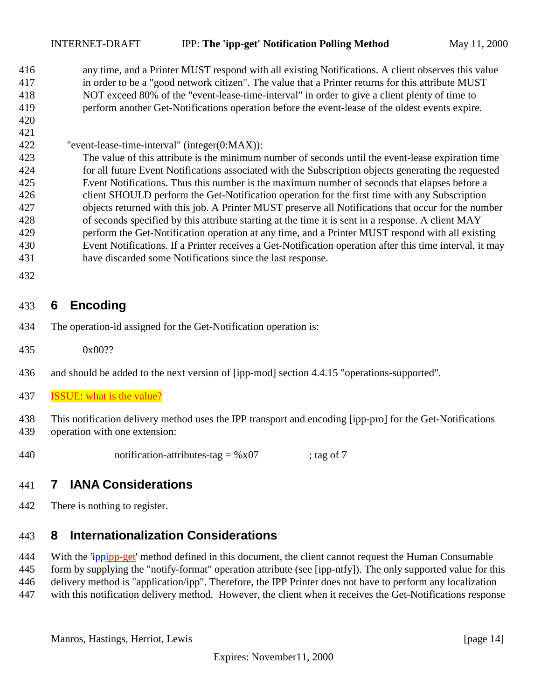<span id="page-13-0"></span> any time, and a Printer MUST respond with all existing Notifications. A client observes this value in order to be a "good network citizen". The value that a Printer returns for this attribute MUST NOT exceed 80% of the "event-lease-time-interval" in order to give a client plenty of time to perform another Get-Notifications operation before the event-lease of the oldest events expire. 

#### "event-lease-time-interval" (integer(0:MAX)):

 The value of this attribute is the minimum number of seconds until the event-lease expiration time for all future Event Notifications associated with the Subscription objects generating the requested Event Notifications. Thus this number is the maximum number of seconds that elapses before a client SHOULD perform the Get-Notification operation for the first time with any Subscription objects returned with this job. A Printer MUST preserve all Notifications that occur for the number of seconds specified by this attribute starting at the time it is sent in a response. A client MAY perform the Get-Notification operation at any time, and a Printer MUST respond with all existing Event Notifications. If a Printer receives a Get-Notification operation after this time interval, it may have discarded some Notifications since the last response.

## **6 Encoding**

- The operation-id assigned for the Get-Notification operation is:
- 0x00??
- and should be added to the next version of [ipp-mod] section 4.4.15 "operations-supported".
- ISSUE: what is the value?

 This notification delivery method uses the IPP transport and encoding [ipp-pro] for the Get-Notifications operation with one extension:

440 notification-attributes-tag =  $\%x07$  ; tag of 7

## **7 IANA Considerations**

There is nothing to register.

#### **8 Internationalization Considerations**

444 With the 'ippipp-get' method defined in this document, the client cannot request the Human Consumable form by supplying the "notify-format" operation attribute (see [ipp-ntfy]). The only supported value for this delivery method is "application/ipp". Therefore, the IPP Printer does not have to perform any localization with this notification delivery method. However, the client when it receives the Get-Notifications response

Manros, Hastings, Herriot, Lewis [page 14]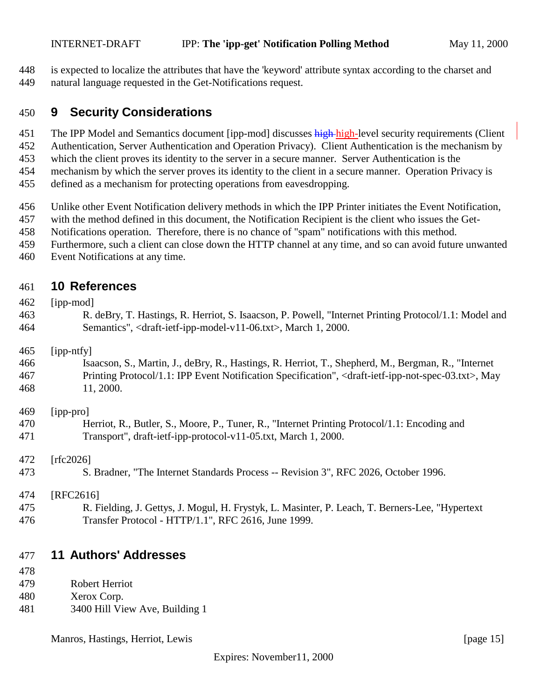<span id="page-14-0"></span> is expected to localize the attributes that have the 'keyword' attribute syntax according to the charset and natural language requested in the Get-Notifications request.

### **9 Security Considerations**

451 The IPP Model and Semantics document [ipp-mod] discusses high-high-level security requirements (Client

Authentication, Server Authentication and Operation Privacy). Client Authentication is the mechanism by

which the client proves its identity to the server in a secure manner. Server Authentication is the

 mechanism by which the server proves its identity to the client in a secure manner. Operation Privacy is defined as a mechanism for protecting operations from eavesdropping.

Unlike other Event Notification delivery methods in which the IPP Printer initiates the Event Notification,

with the method defined in this document, the Notification Recipient is the client who issues the Get-

- Notifications operation. Therefore, there is no chance of "spam" notifications with this method.
- Furthermore, such a client can close down the HTTP channel at any time, and so can avoid future unwanted
- Event Notifications at any time.

## **10 References**

| 462 | [ipp-mod]                                                                                                                            |
|-----|--------------------------------------------------------------------------------------------------------------------------------------|
| 463 | R. deBry, T. Hastings, R. Herriot, S. Isaacson, P. Powell, "Internet Printing Protocol/1.1: Model and                                |
| 464 | Semantics", <draft-ietf-ipp-model-v11-06.txt>, March 1, 2000.</draft-ietf-ipp-model-v11-06.txt>                                      |
| 465 | [ipp-ntfy]                                                                                                                           |
| 466 | Isaacson, S., Martin, J., deBry, R., Hastings, R. Herriot, T., Shepherd, M., Bergman, R., "Internet                                  |
| 467 | Printing Protocol/1.1: IPP Event Notification Specification", <draft-ietf-ipp-not-spec-03.txt>, May</draft-ietf-ipp-not-spec-03.txt> |
| 468 | 11, 2000.                                                                                                                            |
| 469 | [ipp-pro]                                                                                                                            |
| 470 | Herriot, R., Butler, S., Moore, P., Tuner, R., "Internet Printing Protocol/1.1: Encoding and                                         |
| 471 | Transport", draft-ietf-ipp-protocol-v11-05.txt, March 1, 2000.                                                                       |
| 472 | [rfc2026]                                                                                                                            |
| 473 | S. Bradner, "The Internet Standards Process -- Revision 3", RFC 2026, October 1996.                                                  |
| 474 | [RFC2616]                                                                                                                            |
| 475 | R. Fielding, J. Gettys, J. Mogul, H. Frystyk, L. Masinter, P. Leach, T. Berners-Lee, "Hypertext"                                     |
| 476 | Transfer Protocol - HTTP/1.1", RFC 2616, June 1999.                                                                                  |
|     |                                                                                                                                      |

## **11 Authors' Addresses**

- Robert Herriot
- Xerox Corp.
- 3400 Hill View Ave, Building 1

Manros, Hastings, Herriot, Lewis [page 15]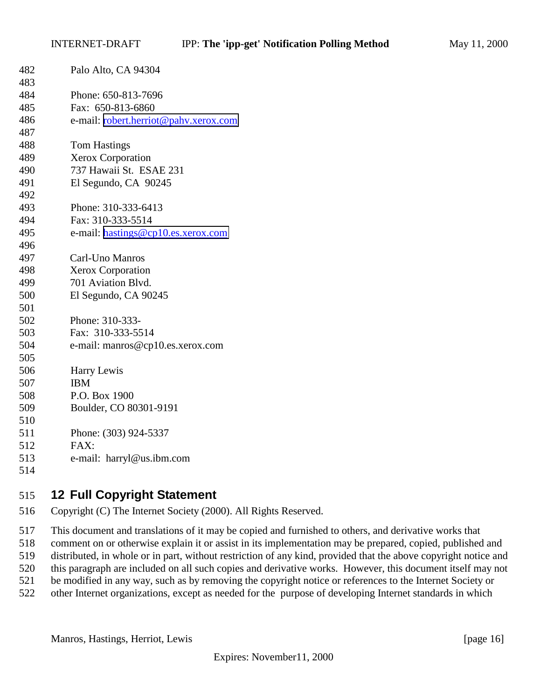<span id="page-15-0"></span>

| 482 | Palo Alto, CA 94304                   |
|-----|---------------------------------------|
| 483 |                                       |
| 484 | Phone: 650-813-7696                   |
| 485 | Fax: 650-813-6860                     |
| 486 | e-mail: robert.herriot@pahv.xerox.com |
| 487 |                                       |
| 488 | <b>Tom Hastings</b>                   |
| 489 | <b>Xerox Corporation</b>              |
| 490 | 737 Hawaii St. ESAE 231               |
| 491 | El Segundo, CA 90245                  |
| 492 |                                       |
| 493 | Phone: 310-333-6413                   |
| 494 | Fax: 310-333-5514                     |
| 495 | e-mail: hastings@cp10.es.xerox.com    |
| 496 |                                       |
| 497 | Carl-Uno Manros                       |
| 498 | <b>Xerox Corporation</b>              |
| 499 | 701 Aviation Blvd.                    |
| 500 | El Segundo, CA 90245                  |
| 501 |                                       |
| 502 | Phone: 310-333-                       |
| 503 | Fax: 310-333-5514                     |
| 504 | e-mail: manros@cp10.es.xerox.com      |
| 505 |                                       |
| 506 | Harry Lewis                           |
| 507 | <b>IBM</b>                            |
| 508 | P.O. Box 1900                         |
| 509 | Boulder, CO 80301-9191                |
| 510 |                                       |
| 511 | Phone: (303) 924-5337                 |
| 512 | FAX:                                  |
| 513 | e-mail: harryl@us.ibm.com             |
| 514 |                                       |

## **12 Full Copyright Statement**

Copyright (C) The Internet Society (2000). All Rights Reserved.

 This document and translations of it may be copied and furnished to others, and derivative works that comment on or otherwise explain it or assist in its implementation may be prepared, copied, published and distributed, in whole or in part, without restriction of any kind, provided that the above copyright notice and this paragraph are included on all such copies and derivative works. However, this document itself may not be modified in any way, such as by removing the copyright notice or references to the Internet Society or other Internet organizations, except as needed for the purpose of developing Internet standards in which

Manros, Hastings, Herriot, Lewis [page 16]